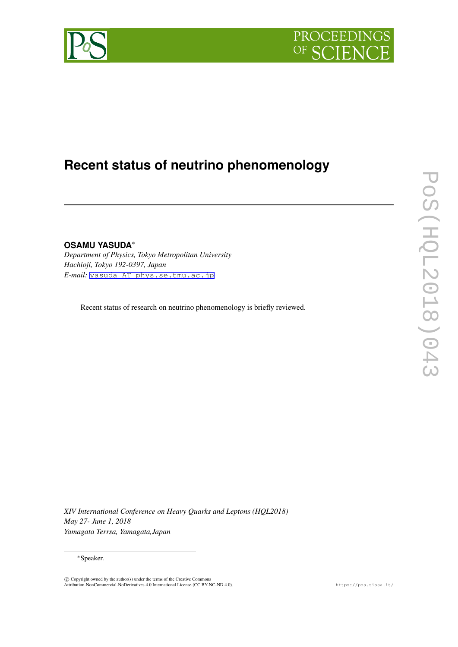



# **Recent status of neutrino phenomenology**

**OSAMU YASUDA***∗ Department of Physics, Tokyo Metropolitan University Hachioji, Tokyo 192-0397, Japan E-mail:* [yasuda AT phys.se.tmu.ac.jp](mailto:yasuda AT phys.se.tmu.ac.jp)

Recent status of research on neutrino phenomenology is briefly reviewed.

*XIV International Conference on Heavy Quarks and Leptons (HQL2018) May 27- June 1, 2018 Yamagata Terrsa, Yamagata,Japan*

*∗*Speaker.

 $\circled{c}$  Copyright owned by the author(s) under the terms of the Creative Commons Attribution-NonCommercial-NoDerivatives 4.0 International License (CC BY-NC-ND 4.0). https://pos.sissa.it/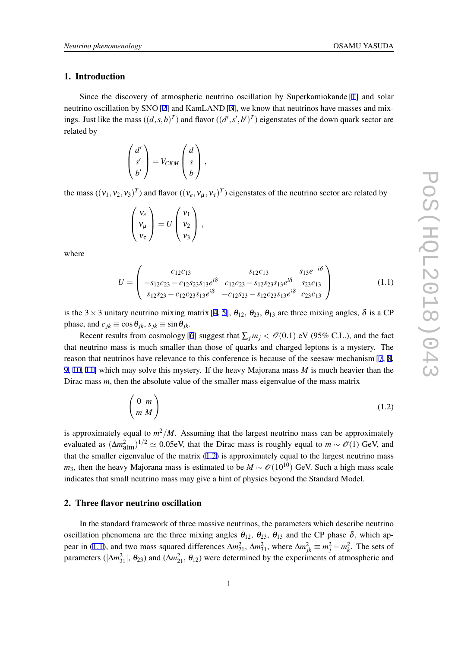# 1. Introduction

Since the discovery of atmospheric neutrino oscillation by Superkamiokande [\[1\]](#page-6-0) and solar neutrino oscillation by SNO [\[2\]](#page-6-0) and KamLAND [\[3\]](#page-6-0), we know that neutrinos have masses and mixings. Just like the mass  $((d, s, b)^T)$  and flavor  $((d', s', b')^T)$  eigenstates of the down quark sector are related by

$$
\begin{pmatrix} d' \\ s' \\ b' \end{pmatrix} = V_{CKM} \begin{pmatrix} d \\ s \\ b \end{pmatrix},
$$

the mass  $((v_1, v_2, v_3)^T)$  and flavor  $((v_e, v_\mu, v_\tau)^T)$  eigenstates of the neutrino sector are related by

$$
\begin{pmatrix} v_e \\ v_\mu \\ v_\tau \end{pmatrix} = U \begin{pmatrix} v_1 \\ v_2 \\ v_3 \end{pmatrix},
$$

where

$$
U = \begin{pmatrix} c_{12}c_{13} & s_{12}c_{13} & s_{13}e^{-i\delta} \\ -s_{12}c_{23} - c_{12}s_{23}s_{13}e^{i\delta} & c_{12}c_{23} - s_{12}s_{23}s_{13}e^{i\delta} & s_{23}c_{13} \\ s_{12}s_{23} - c_{12}c_{23}s_{13}e^{i\delta} & -c_{12}s_{23} - s_{12}c_{23}s_{13}e^{i\delta} & c_{23}c_{13} \end{pmatrix}
$$
(1.1)

is the 3  $\times$  3 unitary neutrino mixing matrix [\[4,](#page-7-0) [5](#page-7-0)],  $\theta_{12}$ ,  $\theta_{23}$ ,  $\theta_{13}$  are three mixing angles,  $\delta$  is a CP phase, and  $c_{jk} \equiv \cos \theta_{jk}$ ,  $s_{jk} \equiv \sin \theta_{jk}$ .

Recent results from cosmology [[6](#page-7-0)] suggest that  $\sum_j m_j < O(0.1)$  eV (95% C.L.), and the fact that neutrino mass is much smaller than those of quarks and charged leptons is a mystery. The reason that neutrinos have relevance to this conference is because of the seesaw mechanism [\[7,](#page-7-0) [8](#page-7-0), [9,](#page-7-0) [10](#page-7-0), [11](#page-7-0)] which may solve this mystery. If the heavy Majorana mass *M* is much heavier than the Dirac mass *m*, then the absolute value of the smaller mass eigenvalue of the mass matrix

$$
\begin{pmatrix} 0 & m \\ m & M \end{pmatrix} \tag{1.2}
$$

is approximately equal to *m* <sup>2</sup>*/M*. Assuming that the largest neutrino mass can be approximately evaluated as  $(\Delta m_{\text{atm}}^2)^{1/2} \simeq 0.05$ eV, that the Dirac mass is roughly equal to  $m \sim \mathcal{O}(1)$  GeV, and that the smaller eigenvalue of the matrix (1.2) is approximately equal to the largest neutrino mass *m*<sub>3</sub>, then the heavy Majorana mass is estimated to be  $M \sim \mathcal{O}(10^{10})$  GeV. Such a high mass scale indicates that small neutrino mass may give a hint of physics beyond the Standard Model.

# 2. Three flavor neutrino oscillation

In the standard framework of three massive neutrinos, the parameters which describe neutrino oscillation phenomena are the three mixing angles  $\theta_{12}$ ,  $\theta_{23}$ ,  $\theta_{13}$  and the CP phase  $\delta$ , which appear in (1.1), and two mass squared differences  $\Delta m_{21}^2$ ,  $\Delta m_{31}^2$ , where  $\Delta m_{jk}^2 \equiv m_j^2 - m_k^2$ . The sets of parameters ( $|\Delta m_{31}^2|$ ,  $\theta_{23}$ ) and ( $\Delta m_{21}^2$ ,  $\theta_{12}$ ) were determined by the experiments of atmospheric and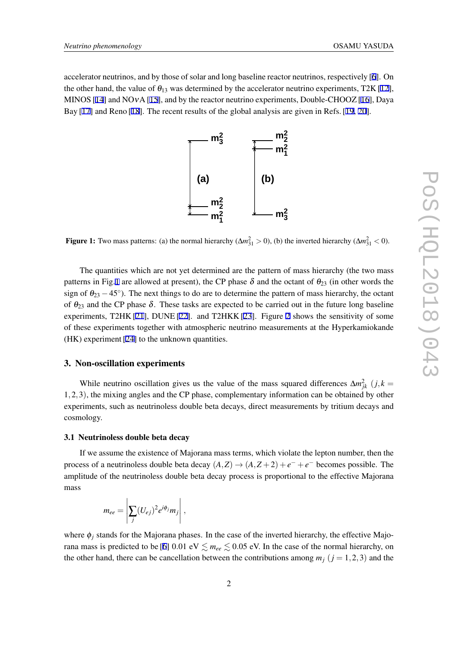accelerator neutrinos, and by those of solar and long baseline reactor neutrinos, respectively [[6](#page-7-0)]. On the other hand, the value of  $\theta_{13}$  was determined by the accelerator neutrino experiments, T2K [[12\]](#page-7-0), MINOS [[14\]](#page-7-0) and NOvA [\[15](#page-7-0)], and by the reactor neutrino experiments, Double-CHOOZ [\[16](#page-7-0)], Daya Bay [\[17](#page-7-0)] and Reno [[18\]](#page-7-0). The recent results of the global analysis are given in Refs. [\[19](#page-7-0), [20\]](#page-7-0).



Figure 1: Two mass patterns: (a) the normal hierarchy ( $\Delta m_{31}^2 > 0$ ), (b) the inverted hierarchy ( $\Delta m_{31}^2 < 0$ ).

The quantities which are not yet determined are the pattern of mass hierarchy (the two mass patterns in Fig.1 are allowed at present), the CP phase  $\delta$  and the octant of  $\theta_{23}$  (in other words the sign of  $\theta_{23} - 45^\circ$ ). The next things to do are to determine the pattern of mass hierarchy, the octant of  $\theta_{23}$  and the CP phase  $\delta$ . These tasks are expected to be carried out in the future long baseline experiments, T2HK [\[21](#page-7-0)], DUNE [\[22\]](#page-7-0). and T2HKK [[23\]](#page-7-0). Figure [2](#page-3-0) shows the sensitivity of some of these experiments together with atmospheric neutrino measurements at the Hyperkamiokande (HK) experiment [\[24](#page-7-0)] to the unknown quantities.

### 3. Non-oscillation experiments

While neutrino oscillation gives us the value of the mass squared differences  $\Delta m_{jk}^2$  (*j*, *k* = 1*,*2*,*3), the mixing angles and the CP phase, complementary information can be obtained by other experiments, such as neutrinoless double beta decays, direct measurements by tritium decays and cosmology.

#### 3.1 Neutrinoless double beta decay

If we assume the existence of Majorana mass terms, which violate the lepton number, then the process of a neutrinoless double beta decay  $(A,Z) \rightarrow (A,Z+2) + e^- + e^-$  becomes possible. The amplitude of the neutrinoless double beta decay process is proportional to the effective Majorana mass

$$
m_{ee} = \left| \sum_j (U_{ej})^2 e^{i\phi_j} m_j \right|,
$$

where  $\phi_i$  stands for the Majorana phases. In the case of the inverted hierarchy, the effective Majo-rana mass is predicted to be [\[6\]](#page-7-0) 0.01 eV  $\leq m_{ee} \leq 0.05$  eV. In the case of the normal hierarchy, on the other hand, there can be cancellation between the contributions among  $m_j$  ( $j = 1, 2, 3$ ) and the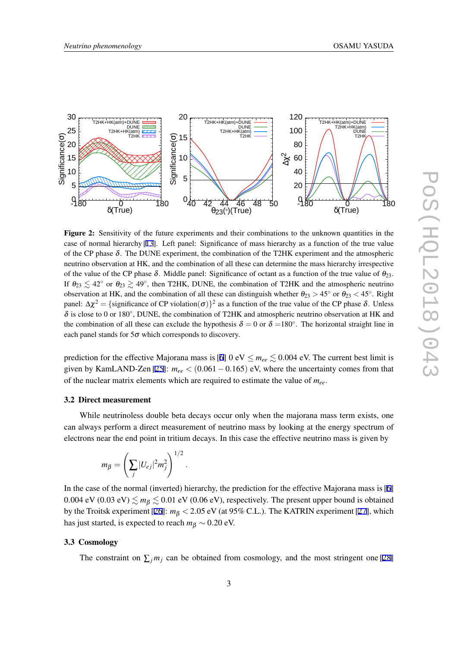<span id="page-3-0"></span>

Figure 2: Sensitivity of the future experiments and their combinations to the unknown quantities in the case of normal hierarchy [[13\]](#page-7-0). Left panel: Significance of mass hierarchy as a function of the true value of the CP phase  $\delta$ . The DUNE experiment, the combination of the T2HK experiment and the atmospheric neutrino observation at HK, and the combination of all these can determine the mass hierarchy irrespective of the value of the CP phase  $\delta$ . Middle panel: Significance of octant as a function of the true value of  $\theta_{23}$ . If  $\theta_{23} \lesssim 42^\circ$  or  $\theta_{23} \gtrsim 49^\circ$ , then T2HK, DUNE, the combination of T2HK and the atmospheric neutrino observation at HK, and the combination of all these can distinguish whether  $\theta_{23} > 45^\circ$  or  $\theta_{23} < 45^\circ$ . Right panel:  $\Delta \chi^2$  = {significance of CP violation(σ)}<sup>2</sup> as a function of the true value of the CP phase δ. Unless <sup>δ</sup> is close to 0 or 180*◦* , DUNE, the combination of T2HK and atmospheric neutrino observation at HK and the combination of all these can exclude the hypothesis  $\delta = 0$  or  $\delta = 180^\circ$ . The horizontal straight line in each panel stands for  $5\sigma$  which corresponds to discovery.

prediction for the effective Majorana mass is [\[6\]](#page-7-0) 0 eV  $\leq m_{ee} \leq 0.004$  eV. The current best limit is given by KamLAND-Zen [[25\]](#page-7-0):  $m_{ee}$  < (0.061 – 0.165) eV, where the uncertainty comes from that of the nuclear matrix elements which are required to estimate the value of *mee*.

#### 3.2 Direct measurement

While neutrinoless double beta decays occur only when the majorana mass term exists, one can always perform a direct measurement of neutrino mass by looking at the energy spectrum of electrons near the end point in tritium decays. In this case the effective neutrino mass is given by

$$
m_{\beta}=\left(\sum_j|U_{ej}|^2m_j^2\right)^{1/2}.
$$

In the case of the normal (inverted) hierarchy, the prediction for the effective Majorana mass is [[6](#page-7-0)] 0.004 eV (0.03 eV)  $\leq m_B \leq 0.01$  eV (0.06 eV), respectively. The present upper bound is obtained by the Troitsk experiment [\[26](#page-7-0)]: *m*<sup>β</sup> *<* 2*.*05 eV (at 95% C.L.). The KATRIN experiment [[27](#page-7-0)], which has just started, is expected to reach  $m<sub>\beta</sub> \sim 0.20$  eV.

# 3.3 Cosmology

The constraint on  $\sum_j m_j$  can be obtained from cosmology, and the most stringent one [\[28](#page-7-0)]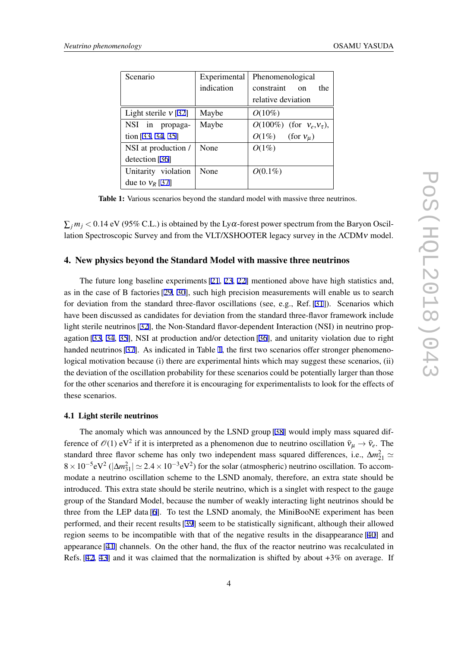| Scenario               | Experimental | Phenomenological                 |
|------------------------|--------------|----------------------------------|
|                        | indication   | constraint<br>the<br>$\Omega$    |
|                        |              | relative deviation               |
| Light sterile $v$ [32] | Maybe        | $O(10\%)$                        |
| NSI in propaga-        | Maybe        | $O(100\%)$ (for $V_e, V_\tau$ ), |
| tion $[33, 34, 35]$    |              | $O(1\%)$<br>(for $v_u$ )         |
| NSI at production /    | None         | $O(1\%)$                         |
| detection [36]         |              |                                  |
| Unitarity violation    | None         | $O(0.1\%)$                       |
| due to $v_R$ [37]      |              |                                  |

Table 1: Various scenarios beyond the standard model with massive three neutrinos.

 $\sum_j m_j < 0.14$  eV (95% C.L.) is obtained by the Ly $\alpha$ -forest power spectrum from the Baryon Oscillation Spectroscopic Survey and from the VLT/XSHOOTER legacy survey in the ΛCDM<sup>ν</sup> model.

## 4. New physics beyond the Standard Model with massive three neutrinos

The future long baseline experiments [[21](#page-7-0), [23,](#page-7-0) [22\]](#page-7-0) mentioned above have high statistics and, as in the case of B factories [\[29,](#page-8-0) [30](#page-8-0)], such high precision measurements will enable us to search for deviation from the standard three-flavor oscillations (see, e.g., Ref. [[31\]](#page-8-0)). Scenarios which have been discussed as candidates for deviation from the standard three-flavor framework include light sterile neutrinos [\[32](#page-8-0)], the Non-Standard flavor-dependent Interaction (NSI) in neutrino propagation [[33,](#page-8-0) [34,](#page-8-0) [35](#page-8-0)], NSI at production and/or detection [[36\]](#page-8-0), and unitarity violation due to right handed neutrinos [\[37\]](#page-8-0). As indicated in Table 1, the first two scenarios offer stronger phenomenological motivation because (i) there are experimental hints which may suggest these scenarios, (ii) the deviation of the oscillation probability for these scenarios could be potentially larger than those for the other scenarios and therefore it is encouraging for experimentalists to look for the effects of these scenarios.

## 4.1 Light sterile neutrinos

The anomaly which was announced by the LSND group [[38\]](#page-8-0) would imply mass squared difference of  $\mathcal{O}(1)$  eV<sup>2</sup> if it is interpreted as a phenomenon due to neutrino oscillation  $\bar{v}_\mu \to \bar{v}_e$ . The standard three flavor scheme has only two independent mass squared differences, i.e.,  $\Delta m_{21}^2 \simeq$ 8 × 10<sup>-5</sup>eV<sup>2</sup> ( $|\Delta m_{31}^2|$  ≃ 2.4 × 10<sup>-3</sup>eV<sup>2</sup>) for the solar (atmospheric) neutrino oscillation. To accommodate a neutrino oscillation scheme to the LSND anomaly, therefore, an extra state should be introduced. This extra state should be sterile neutrino, which is a singlet with respect to the gauge group of the Standard Model, because the number of weakly interacting light neutrinos should be three from the LEP data [\[6\]](#page-7-0). To test the LSND anomaly, the MiniBooNE experiment has been performed, and their recent results [[39](#page-8-0)] seem to be statistically significant, although their allowed region seems to be incompatible with that of the negative results in the disappearance [[40\]](#page-8-0) and appearance [[41\]](#page-8-0) channels. On the other hand, the flux of the reactor neutrino was recalculated in Refs.  $[42, 43]$  $[42, 43]$  $[42, 43]$  $[42, 43]$  and it was claimed that the normalization is shifted by about  $+3\%$  on average. If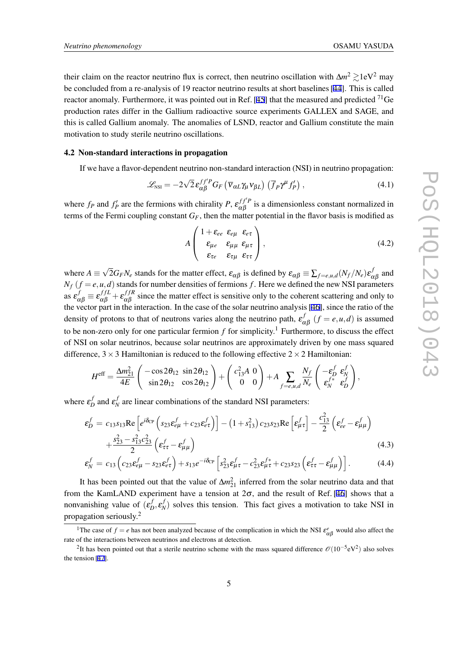their claim on the reactor neutrino flux is correct, then neutrino oscillation with  $\Delta m^2 \gtrsim 1$ eV<sup>2</sup> may be concluded from a re-analysis of 19 reactor neutrino results at short baselines [\[44](#page-8-0)]. This is called reactor anomaly. Furthermore, it was pointed out in Ref. [\[45](#page-8-0)] that the measured and predicted  $^{71}$ Ge production rates differ in the Gallium radioactive source experiments GALLEX and SAGE, and this is called Gallium anomaly. The anomalies of LSND, reactor and Gallium constitute the main motivation to study sterile neutrino oscillations.

#### 4.2 Non-standard interactions in propagation

If we have a flavor-dependent neutrino non-standard interaction (NSI) in neutrino propagation:

$$
\mathcal{L}_{\text{NSI}} = -2\sqrt{2} \,\varepsilon_{\alpha\beta}^{f f' P} G_F \left( \overline{\mathbf{v}}_{\alpha L} \gamma_\mu \mathbf{v}_{\beta L} \right) \left( \overline{f}_P \gamma^\mu f'_P \right), \tag{4.1}
$$

where  $f_P$  and  $f'_P$  are the fermions with chirality  $P$ ,  $\varepsilon_{\alpha\beta}^{f'P}$  $\alpha \beta$  is a dimensionless constant normalized in terms of the Fermi coupling constant  $G_F$ , then the matter potential in the flavor basis is modified as

$$
A \begin{pmatrix} 1 + \varepsilon_{ee} & \varepsilon_{e\mu} & \varepsilon_{e\tau} \\ \varepsilon_{\mu e} & \varepsilon_{\mu\mu} & \varepsilon_{\mu\tau} \\ \varepsilon_{\tau e} & \varepsilon_{\tau\mu} & \varepsilon_{\tau\tau} \end{pmatrix},
$$
(4.2)

where *A ≡ √*  $\overline{2}G_FN_e$  stands for the matter effect,  $\varepsilon_{\alpha\beta}$  is defined by  $\varepsilon_{\alpha\beta}\equiv \sum_{f=e,\mu,d}(N_f/N_e)\varepsilon_{\alpha\beta}^f$  $\alpha$ β and  $N_f$  ( $f = e, u, d$ ) stands for number densities of fermions  $f$ . Here we defined the new NSI parameters as  $\epsilon_{\alpha\beta}^f \equiv \epsilon_{\alpha\beta}^{ffL} + \epsilon_{\alpha\beta}^{ffR}$  $\alpha_{\beta}^{J/\kappa}$  since the matter effect is sensitive only to the coherent scattering and only to the vector part in the interaction. In the case of the solar neutrino analysis [[46\]](#page-8-0), since the ratio of the density of protons to that of neutrons varies along the neutrino path,  $\varepsilon_o^j$  $\int_{\alpha\beta}^{J} (f = e, u, d)$  is assumed to be non-zero only for one particular fermion  $f$  for simplicity.<sup>1</sup> Furthermore, to discuss the effect of NSI on solar neutrinos, because solar neutrinos are approximately driven by one mass squared difference,  $3 \times 3$  Hamiltonian is reduced to the following effective  $2 \times 2$  Hamiltonian:

$$
H^{\text{eff}} = \frac{\Delta m_{21}^2}{4E} \left( \begin{array}{cc} -\cos 2\theta_{12} & \sin 2\theta_{12} \\ \sin 2\theta_{12} & \cos 2\theta_{12} \end{array} \right) + \left( \begin{array}{c} c_{13}^2 A & 0 \\ 0 & 0 \end{array} \right) + A \sum_{f=e,\mu,d} \frac{N_f}{N_e} \left( \begin{array}{cc} -\varepsilon_D^f & \varepsilon_N^f \\ \varepsilon_N^{f*} & \varepsilon_D^f \end{array} \right),
$$

where  $\varepsilon_L^f$  $\mathbf{z}_D^f$  and  $\mathbf{\varepsilon}_N^f$  $N_N$  are linear combinations of the standard NSI parameters:

$$
\varepsilon_{D}^{f} = c_{13}s_{13}\text{Re}\left[e^{i\delta_{\text{CP}}}\left(s_{23}\varepsilon_{e\mu}^{f} + c_{23}\varepsilon_{e\tau}^{f}\right)\right] - (1+s_{13}^{2})c_{23}s_{23}\text{Re}\left[\varepsilon_{\mu\tau}^{f}\right] - \frac{c_{13}^{2}}{2}\left(\varepsilon_{e e}^{f} - \varepsilon_{\mu\mu}^{f}\right) + \frac{s_{23}^{2} - s_{13}^{2}c_{23}^{2}}{2}\left(\varepsilon_{\tau\tau}^{f} - \varepsilon_{\mu\mu}^{f}\right)
$$
\n(4.3)

$$
\varepsilon_N^f = c_{13} \left( c_{23} \varepsilon_{e\mu}^f - s_{23} \varepsilon_{e\tau}^f \right) + s_{13} e^{-i\delta_{\text{CP}}} \left[ s_{23}^2 \varepsilon_{\mu\tau}^f - c_{23}^2 \varepsilon_{\mu\tau}^{f*} + c_{23} s_{23} \left( \varepsilon_{\tau\tau}^f - \varepsilon_{\mu\mu}^f \right) \right]. \tag{4.4}
$$

It has been pointed out that the value of  $\Delta m_{21}^2$  inferred from the solar neutrino data and that from the KamLAND experiment have a tension at  $2\sigma$ , and the result of Ref. [\[46](#page-8-0)] shows that a nonvanishing value of  $(\varepsilon_L^f)$  $E_D^f$ ,  $\mathcal{E}_D^f$  $N_N^{(1)}$  solves this tension. This fact gives a motivation to take NSI in propagation seriously.<sup>2</sup>

<sup>&</sup>lt;sup>1</sup>The case of  $f = e$  has not been analyzed because of the complication in which the NSI  $\varepsilon_{\alpha\beta}^e$  would also affect the rate of the interactions between neutrinos and electrons at detection.

<sup>2</sup> It has been pointed out that a sterile neutrino scheme with the mass squared difference *O*(10*−*<sup>5</sup> eV<sup>2</sup> ) also solves the tension [[47\]](#page-8-0).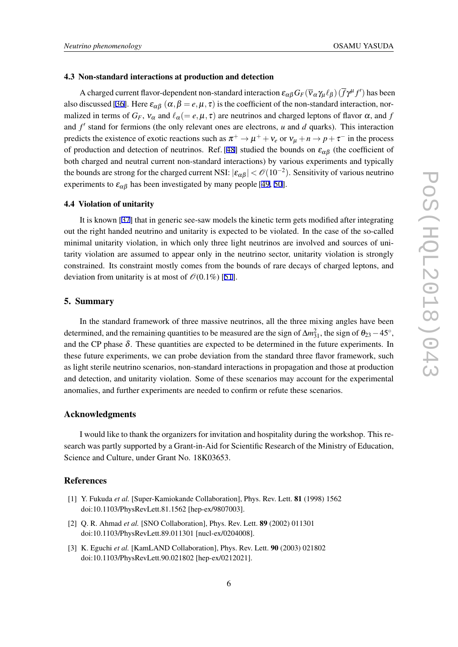#### <span id="page-6-0"></span>4.3 Non-standard interactions at production and detection

A charged current flavor-dependent non-standard interaction  $\epsilon_{\alpha\beta}G_F(\overline{v}_\alpha\gamma_\mu\ell_\beta)(\overline{f}\gamma^\mu f')$  has been also discussed [[36](#page-8-0)]. Here  $\varepsilon_{\alpha\beta}$  ( $\alpha, \beta = e, \mu, \tau$ ) is the coefficient of the non-standard interaction, normalized in terms of  $G_F$ ,  $v_\alpha$  and  $\ell_\alpha (=e,\mu,\tau)$  are neutrinos and charged leptons of flavor  $\alpha$ , and f and  $f'$  stand for fermions (the only relevant ones are electrons, *u* and *d* quarks). This interaction predicts the existence of exotic reactions such as  $\pi^+ \to \mu^+ + \nu_e$  or  $\nu_\mu + n \to p + \tau^-$  in the process of production and detection of neutrinos. Ref. [\[48](#page-8-0)] studied the bounds on  $\varepsilon_{\alpha\beta}$  (the coefficient of both charged and neutral current non-standard interactions) by various experiments and typically the bounds are strong for the charged current NSI:  $|\varepsilon_{\alpha\beta}| < \mathcal{O}(10^{-2})$ . Sensitivity of various neutrino experiments to  $\varepsilon_{\alpha\beta}$  has been investigated by many people [[49,](#page-8-0) [50](#page-8-0)].

#### 4.4 Violation of unitarity

It is known [\[37](#page-8-0)] that in generic see-saw models the kinetic term gets modified after integrating out the right handed neutrino and unitarity is expected to be violated. In the case of the so-called minimal unitarity violation, in which only three light neutrinos are involved and sources of unitarity violation are assumed to appear only in the neutrino sector, unitarity violation is strongly constrained. Its constraint mostly comes from the bounds of rare decays of charged leptons, and deviation from unitarity is at most of  $\mathcal{O}(0.1\%)$  [[51\]](#page-8-0).

# 5. Summary

In the standard framework of three massive neutrinos, all the three mixing angles have been determined, and the remaining quantities to be measured are the sign of  $\Delta m_{31}^2$ , the sign of  $\theta_{23} - 45^\circ$ , and the CP phase δ. These quantities are expected to be determined in the future experiments. In these future experiments, we can probe deviation from the standard three flavor framework, such as light sterile neutrino scenarios, non-standard interactions in propagation and those at production and detection, and unitarity violation. Some of these scenarios may account for the experimental anomalies, and further experiments are needed to confirm or refute these scenarios.

## Acknowledgments

I would like to thank the organizers for invitation and hospitality during the workshop. This research was partly supported by a Grant-in-Aid for Scientific Research of the Ministry of Education, Science and Culture, under Grant No. 18K03653.

## References

- [1] Y. Fukuda *et al.* [Super-Kamiokande Collaboration], Phys. Rev. Lett. 81 (1998) 1562 doi:10.1103/PhysRevLett.81.1562 [hep-ex/9807003].
- [2] Q. R. Ahmad *et al.* [SNO Collaboration], Phys. Rev. Lett. 89 (2002) 011301 doi:10.1103/PhysRevLett.89.011301 [nucl-ex/0204008].
- [3] K. Eguchi *et al.* [KamLAND Collaboration], Phys. Rev. Lett. 90 (2003) 021802 doi:10.1103/PhysRevLett.90.021802 [hep-ex/0212021].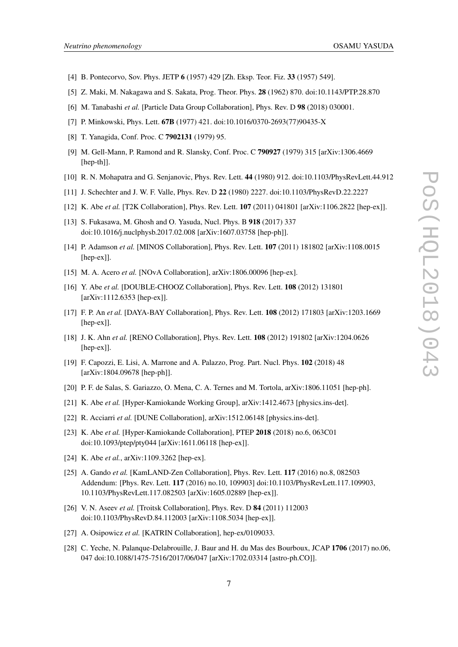- <span id="page-7-0"></span>[4] B. Pontecorvo, Sov. Phys. JETP 6 (1957) 429 [Zh. Eksp. Teor. Fiz. 33 (1957) 549].
- [5] Z. Maki, M. Nakagawa and S. Sakata, Prog. Theor. Phys. 28 (1962) 870. doi:10.1143/PTP.28.870
- [6] M. Tanabashi *et al.* [Particle Data Group Collaboration], Phys. Rev. D 98 (2018) 030001.
- [7] P. Minkowski, Phys. Lett. 67B (1977) 421. doi:10.1016/0370-2693(77)90435-X
- [8] T. Yanagida, Conf. Proc. C 7902131 (1979) 95.
- [9] M. Gell-Mann, P. Ramond and R. Slansky, Conf. Proc. C 790927 (1979) 315 [arXiv:1306.4669 [hep-th]].
- [10] R. N. Mohapatra and G. Senjanovic, Phys. Rev. Lett. 44 (1980) 912. doi:10.1103/PhysRevLett.44.912
- [11] J. Schechter and J. W. F. Valle, Phys. Rev. D 22 (1980) 2227. doi:10.1103/PhysRevD.22.2227
- [12] K. Abe *et al.* [T2K Collaboration], Phys. Rev. Lett. **107** (2011) 041801 [arXiv:1106.2822 [hep-ex]].
- [13] S. Fukasawa, M. Ghosh and O. Yasuda, Nucl. Phys. B 918 (2017) 337 doi:10.1016/j.nuclphysb.2017.02.008 [arXiv:1607.03758 [hep-ph]].
- [14] P. Adamson *et al.* [MINOS Collaboration], Phys. Rev. Lett. 107 (2011) 181802 [arXiv:1108.0015 [hep-ex]].
- [15] M. A. Acero *et al.* [NOvA Collaboration], arXiv:1806.00096 [hep-ex].
- [16] Y. Abe *et al.* [DOUBLE-CHOOZ Collaboration], Phys. Rev. Lett. 108 (2012) 131801 [arXiv:1112.6353 [hep-ex]].
- [17] F. P. An *et al.* [DAYA-BAY Collaboration], Phys. Rev. Lett. 108 (2012) 171803 [arXiv:1203.1669 [hep-ex]].
- [18] J. K. Ahn *et al.* [RENO Collaboration], Phys. Rev. Lett. 108 (2012) 191802 [arXiv:1204.0626 [hep-ex]].
- [19] F. Capozzi, E. Lisi, A. Marrone and A. Palazzo, Prog. Part. Nucl. Phys. 102 (2018) 48 [arXiv:1804.09678 [hep-ph]].
- [20] P. F. de Salas, S. Gariazzo, O. Mena, C. A. Ternes and M. Tortola, arXiv:1806.11051 [hep-ph].
- [21] K. Abe *et al.* [Hyper-Kamiokande Working Group], arXiv:1412.4673 [physics.ins-det].
- [22] R. Acciarri *et al.* [DUNE Collaboration], arXiv:1512.06148 [physics.ins-det].
- [23] K. Abe *et al.* [Hyper-Kamiokande Collaboration], PTEP 2018 (2018) no.6, 063C01 doi:10.1093/ptep/pty044 [arXiv:1611.06118 [hep-ex]].
- [24] K. Abe *et al.*, arXiv:1109.3262 [hep-ex].
- [25] A. Gando *et al.* [KamLAND-Zen Collaboration], Phys. Rev. Lett. 117 (2016) no.8, 082503 Addendum: [Phys. Rev. Lett. 117 (2016) no.10, 109903] doi:10.1103/PhysRevLett.117.109903, 10.1103/PhysRevLett.117.082503 [arXiv:1605.02889 [hep-ex]].
- [26] V. N. Aseev *et al.* [Troitsk Collaboration], Phys. Rev. D **84** (2011) 112003 doi:10.1103/PhysRevD.84.112003 [arXiv:1108.5034 [hep-ex]].
- [27] A. Osipowicz *et al.* [KATRIN Collaboration], hep-ex/0109033.
- [28] C. Yeche, N. Palanque-Delabrouille, J. Baur and H. du Mas des Bourboux, JCAP 1706 (2017) no.06, 047 doi:10.1088/1475-7516/2017/06/047 [arXiv:1702.03314 [astro-ph.CO]].